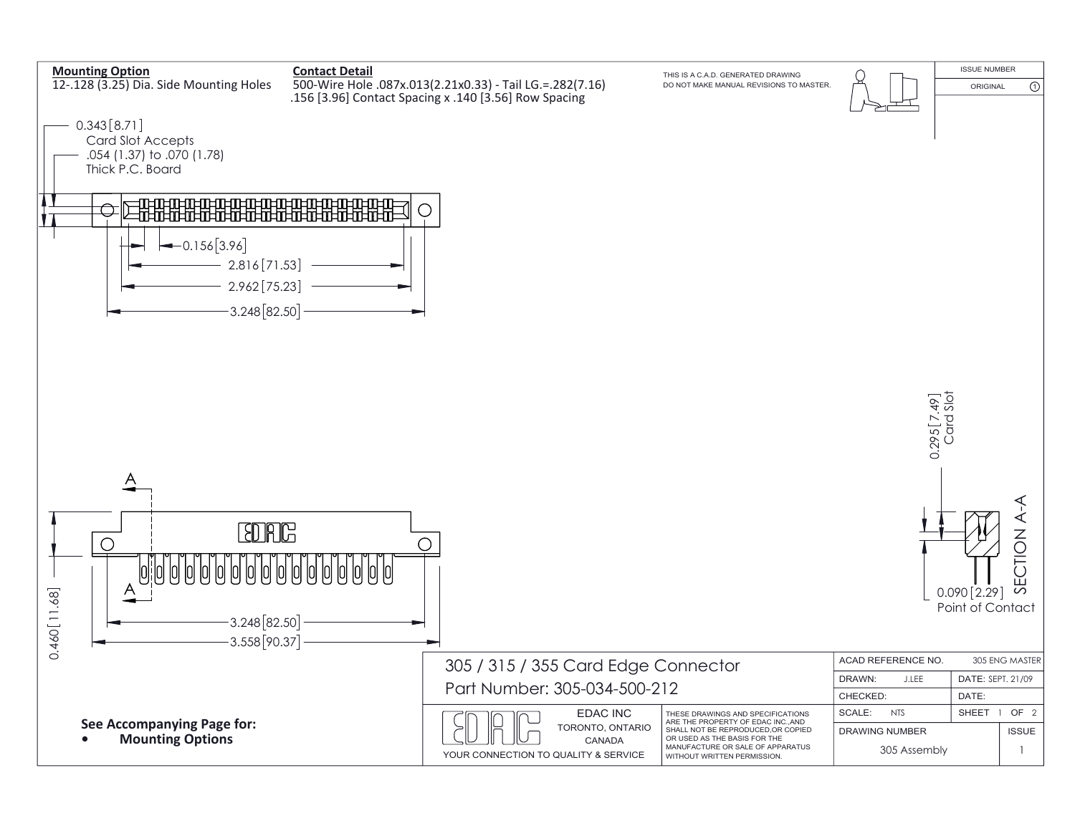